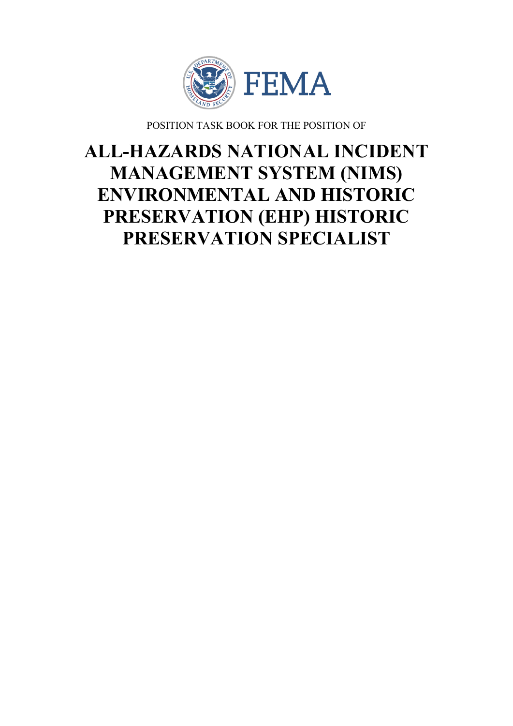

POSITION TASK BOOK FOR THE POSITION OF

# **ALL-HAZARDS NATIONAL INCIDENT MANAGEMENT SYSTEM (NIMS) ENVIRONMENTAL AND HISTORIC PRESERVATION (EHP) HISTORIC PRESERVATION SPECIALIST**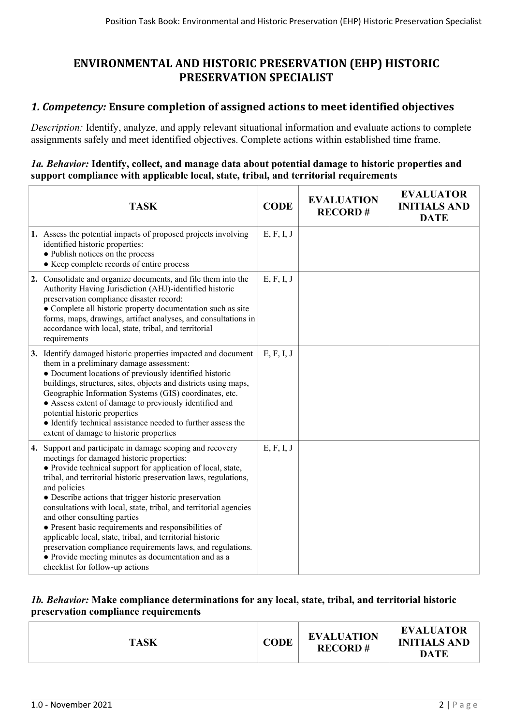# **ENVIRONMENTAL AND HISTORIC PRESERVATION (EHP) HISTORIC PRESERVATION SPECIALIST**

### *1. Competency:* **Ensure completion of assigned actions to meet identified objectives**

*Description:* Identify, analyze, and apply relevant situational information and evaluate actions to complete assignments safely and meet identified objectives. Complete actions within established time frame.

#### *1a. Behavior:* **Identify, collect, and manage data about potential damage to historic properties and support compliance with applicable local, state, tribal, and territorial requirements**

| <b>TASK</b>                                                                                                                                                                                                                                                                                                                                                                                                                                                                                                                                                                                                                                                                                            | <b>CODE</b> | <b>EVALUATION</b><br><b>RECORD#</b> | <b>EVALUATOR</b><br><b>INITIALS AND</b><br><b>DATE</b> |
|--------------------------------------------------------------------------------------------------------------------------------------------------------------------------------------------------------------------------------------------------------------------------------------------------------------------------------------------------------------------------------------------------------------------------------------------------------------------------------------------------------------------------------------------------------------------------------------------------------------------------------------------------------------------------------------------------------|-------------|-------------------------------------|--------------------------------------------------------|
| 1. Assess the potential impacts of proposed projects involving<br>identified historic properties:<br>• Publish notices on the process<br>• Keep complete records of entire process                                                                                                                                                                                                                                                                                                                                                                                                                                                                                                                     | E, F, I, J  |                                     |                                                        |
| 2. Consolidate and organize documents, and file them into the<br>Authority Having Jurisdiction (AHJ)-identified historic<br>preservation compliance disaster record:<br>• Complete all historic property documentation such as site<br>forms, maps, drawings, artifact analyses, and consultations in<br>accordance with local, state, tribal, and territorial<br>requirements                                                                                                                                                                                                                                                                                                                         | E, F, I, J  |                                     |                                                        |
| 3. Identify damaged historic properties impacted and document<br>them in a preliminary damage assessment:<br>• Document locations of previously identified historic<br>buildings, structures, sites, objects and districts using maps,<br>Geographic Information Systems (GIS) coordinates, etc.<br>• Assess extent of damage to previously identified and<br>potential historic properties<br>• Identify technical assistance needed to further assess the<br>extent of damage to historic properties                                                                                                                                                                                                 | E, F, I, J  |                                     |                                                        |
| 4. Support and participate in damage scoping and recovery<br>meetings for damaged historic properties:<br>• Provide technical support for application of local, state,<br>tribal, and territorial historic preservation laws, regulations,<br>and policies<br>• Describe actions that trigger historic preservation<br>consultations with local, state, tribal, and territorial agencies<br>and other consulting parties<br>• Present basic requirements and responsibilities of<br>applicable local, state, tribal, and territorial historic<br>preservation compliance requirements laws, and regulations.<br>• Provide meeting minutes as documentation and as a<br>checklist for follow-up actions | E, F, I, J  |                                     |                                                        |

#### *1b. Behavior:* **Make compliance determinations for any local, state, tribal, and territorial historic preservation compliance requirements**

|--|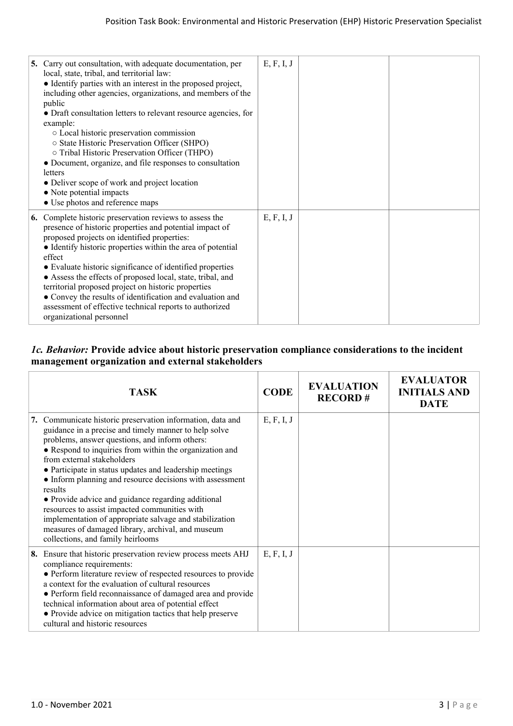| 5. Carry out consultation, with adequate documentation, per<br>local, state, tribal, and territorial law:<br>• Identify parties with an interest in the proposed project,<br>including other agencies, organizations, and members of the<br>public<br>• Draft consultation letters to relevant resource agencies, for<br>example:<br>o Local historic preservation commission<br>○ State Historic Preservation Officer (SHPO)<br>o Tribal Historic Preservation Officer (THPO)<br>• Document, organize, and file responses to consultation<br>letters<br>• Deliver scope of work and project location<br>• Note potential impacts<br>• Use photos and reference maps | E, F, I, J |  |
|----------------------------------------------------------------------------------------------------------------------------------------------------------------------------------------------------------------------------------------------------------------------------------------------------------------------------------------------------------------------------------------------------------------------------------------------------------------------------------------------------------------------------------------------------------------------------------------------------------------------------------------------------------------------|------------|--|
| <b>6.</b> Complete historic preservation reviews to assess the<br>presence of historic properties and potential impact of<br>proposed projects on identified properties:<br>• Identify historic properties within the area of potential<br>effect<br>• Evaluate historic significance of identified properties<br>• Assess the effects of proposed local, state, tribal, and<br>territorial proposed project on historic properties<br>• Convey the results of identification and evaluation and<br>assessment of effective technical reports to authorized<br>organizational personnel                                                                              | E, F, I, J |  |

#### *1c. Behavior:* **Provide advice about historic preservation compliance considerations to the incident management organization and external stakeholders**

|         | <b>TASK</b>                                                                                                                                                                                                                                                                                                                                                                                                                                                                                                                                                                                                                                       | <b>CODE</b> | <b>EVALUATION</b><br><b>RECORD#</b> | <b>EVALUATOR</b><br><b>INITIALS AND</b><br><b>DATE</b> |
|---------|---------------------------------------------------------------------------------------------------------------------------------------------------------------------------------------------------------------------------------------------------------------------------------------------------------------------------------------------------------------------------------------------------------------------------------------------------------------------------------------------------------------------------------------------------------------------------------------------------------------------------------------------------|-------------|-------------------------------------|--------------------------------------------------------|
| results | 7. Communicate historic preservation information, data and<br>guidance in a precise and timely manner to help solve<br>problems, answer questions, and inform others:<br>• Respond to inquiries from within the organization and<br>from external stakeholders<br>• Participate in status updates and leadership meetings<br>• Inform planning and resource decisions with assessment<br>• Provide advice and guidance regarding additional<br>resources to assist impacted communities with<br>implementation of appropriate salvage and stabilization<br>measures of damaged library, archival, and museum<br>collections, and family heirlooms | E, F, I, J  |                                     |                                                        |
|         | 8. Ensure that historic preservation review process meets AHJ<br>compliance requirements:<br>• Perform literature review of respected resources to provide<br>a context for the evaluation of cultural resources<br>• Perform field reconnaissance of damaged area and provide<br>technical information about area of potential effect<br>• Provide advice on mitigation tactics that help preserve<br>cultural and historic resources                                                                                                                                                                                                            | E, F, I, J  |                                     |                                                        |